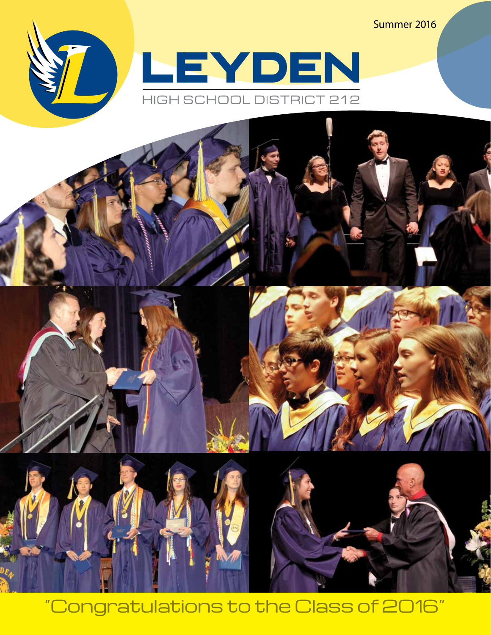Summer 2016





"Congratulations to the Class of 2016"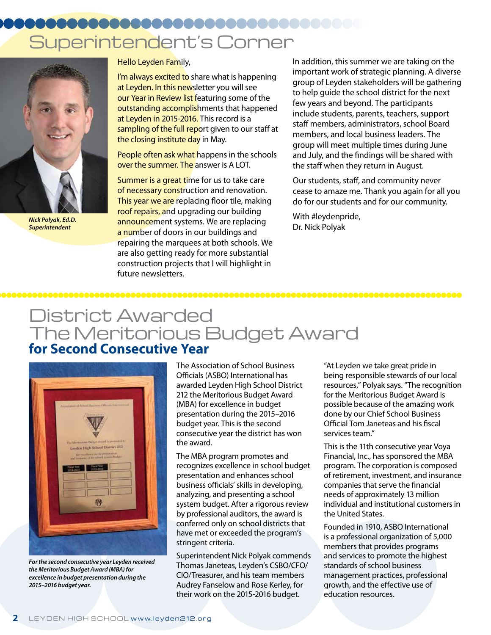# Superintendent's Corner



*Nick Polyak, Ed.D. Superintendent*

Hello Leyden Family,

I'm always excited to share what is happening at Leyden. In this newsletter you will see our Year in Review list featuring some of the outstanding accomplishments that happened at Leyden in 2015-2016. This record is a sampling of the full report given to our staff at the closing institute day in May.

People often ask what happens in the schools over the summer. The answer is A LOT.

Summer is a great time for us to take care of necessary construction and renovation. This year we are replacing floor tile, making roof repairs, and upgrading our building announcement systems. We are replacing a number of doors in our buildings and repairing the marquees at both schools. We are also getting ready for more substantial construction projects that I will highlight in future newsletters.

In addition, this summer we are taking on the important work of strategic planning. A diverse group of Leyden stakeholders will be gathering to help guide the school district for the next few years and beyond. The participants include students, parents, teachers, support staff members, administrators, school Board members, and local business leaders. The group will meet multiple times during June and July, and the findings will be shared with the staff when they return in August.

Our students, staff, and community never cease to amaze me. Thank you again for all you do for our students and for our community.

With #leydenpride, Dr. Nick Polyak

## District Awarded The Meritorious Budget Award **for Second Consecutive Year**



*For the second consecutive year Leyden received the Meritorious Budget Award (MBA) for excellence in budget presentation during the 2015–2016 budget year.*

The Association of School Business Officials (ASBO) International has awarded Leyden High School District 212 the Meritorious Budget Award (MBA) for excellence in budget presentation during the 2015–2016 budget year. This is the second consecutive year the district has won the award.

The MBA program promotes and recognizes excellence in school budget presentation and enhances school business officials' skills in developing, analyzing, and presenting a school system budget. After a rigorous review by professional auditors, the award is conferred only on school districts that have met or exceeded the program's stringent criteria.

Superintendent Nick Polyak commends Thomas Janeteas, Leyden's CSBO/CFO/ CIO/Treasurer, and his team members Audrey Fanselow and Rose Kerley, for their work on the 2015-2016 budget.

"At Leyden we take great pride in being responsible stewards of our local resources," Polyak says. "The recognition for the Meritorious Budget Award is possible because of the amazing work done by our Chief School Business Official Tom Janeteas and his fiscal services team."

This is the 11th consecutive year Voya Financial, Inc., has sponsored the MBA program. The corporation is composed of retirement, investment, and insurance companies that serve the financial needs of approximately 13 million individual and institutional customers in the United States.

Founded in 1910, ASBO International is a professional organization of 5,000 members that provides programs and services to promote the highest standards of school business management practices, professional growth, and the effective use of education resources.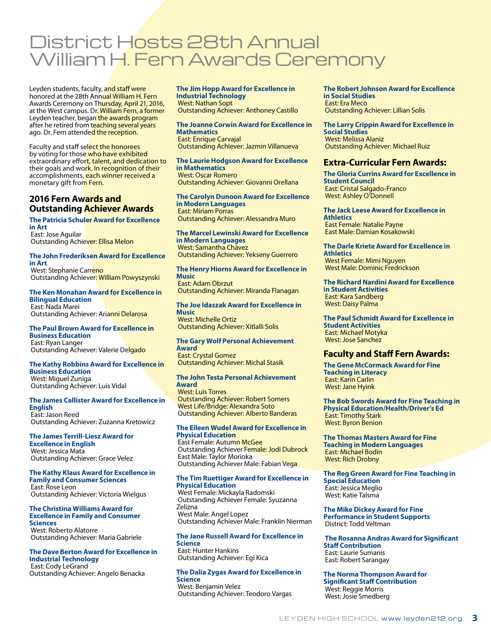## District Hosts 28th Annual William H. Fern Awards Ceremony

Leyden students, faculty, and staff were honored at the 28th Annual William H. Fern Awards Ceremony on Thursday, April 21, 2016, at the West campus. Dr. William Fern, a former Leyden teacher, began the awards program after he retired from teaching several years ago. Dr. Fern attended the reception.

Faculty and staff select the honorees by voting for those who have exhibited extraordinary effort, talent, and dedication to their goals and work. In recognition of their accomplishments, each winner received a monetary gift from Fern.

## **2016 Fern Awards and Outstanding Achiever Awards**

### **The Patricia Schuler Award for Excellence in Art**

 East: Jose Aguilar Outstanding Achiever: Ellisa Melon

#### **The John Frederiksen Award for Excellence in Art**

West: Stephanie Carreno Outstanding Achiever: William Powyszynski

## **The Ken Monahan Award for Excellence in Bilingual Education**

 East: Nada Marei Outstanding Achiever: Arianni Delarosa

#### **The Paul Brown Award for Excellence in Business Education** East: Ryan Langer

Outstanding Achiever: Valerie Delgado

#### **The Kathy Robbins Award for Excellence in Business Education**

 West: Miguel Zuniga Outstanding Achiever: Luis Vidal

### **The James Callister Award for Excellence in English**

 East: Jason Reed Outstanding Achiever: Zuzanna Kretowicz

**The James Terrill-Liesz Award for Excellence in English** West: Jessica Mata Outstanding Achiever: Grace Velez

**The Kathy Klaus Award for Excellence in Family and Consumer Sciences** East: Rose Leon Outstanding Achiever: Victoria Wielgus

#### **The Christina Williams Award for Excellence in Family and Consumer Sciences** West: Roberto Alatorre

Outstanding Achiever: Maria Gabriele

#### **The Dave Berton Award for Excellence in Industrial Technology** East: Cody LeGrand Outstanding Achiever: Angelo Benacka

**The Jim Hopp Award for Excellence in Industrial Technology** West: Nathan Sopt Outstanding Achiever: Anthoney Castillo

#### **The Joanne Corwin Award for Excellence in Mathematics** East: Enrique Carvajal

Outstanding Achiever: Jazmin Villanueva

#### **The Laurie Hodgson Award for Excellence in Mathematics** West: Oscar Romero Outstanding Achiever: Giovanni Orellana

**The Carolyn Dunoon Award for Excellence in Modern Languages** East: Miriam Porras Outstanding Achiever: Alessandra Muro

**The Marcel Lewinski Award for Excellence in Modern Languages** West: Samantha Chávez Outstanding Achiever: Yekseny Guerrero

#### **The Henry Hiorns Award for Excellence in Music**

 East: Adam Obrzut Outstanding Achiever: Miranda Flanagan

### **The Joe Idaszak Award for Excellence in Music**

 West: Michelle Ortiz Outstanding Achiever: Xitlalli Solis

### **The Gary Wolf Personal Achievement Award** East: Crystal Gomez

Outstanding Achiever: Michal Stasik

#### **The John Testa Personal Achievement Award** West: Luis Torres

 Outstanding Achiever: Robert Somers West Life/Bridge: Alexandra Soto Outstanding Achiever: Alberto Banderas

### **The Eileen Wudel Award for Excellence in Physical Education**

East Female: Autumn McGee Outstanding Achiever Female: Jodi Dubrock East Male: Taylor Morioka Outstanding Achiever Male: Fabian Vega

### **The Tim Ruettiger Award for Excellence in Physical Education**

 West Female: Mickayla Radomski Outstanding Achiever Female: Syuzanna Zelizna West Male: Angel Lopez Outstanding Achiever Male: Franklin Nierman

### **The Jane Russell Award for Excellence in Science** East: Hunter Hankins

Outstanding Achiever: Egi Kica

### **The Dalia Zygas Award for Excellence in Science**

 West: Benjamin Velez Outstanding Achiever: Teodoro Vargas **The Robert Johnson Award for Excellence in Social Studies** East: Era Meco Outstanding Achiever: Lillian Solis

**The Larry Crippin Award for Excellence in Social Studies** West: Melissa Alaniz Outstanding Achiever: Michael Ruiz

## **Extra-Curricular Fern Awards:**

**The Gloria Currins Award for Excellence in Student Council** East: Cristal Salgado-Franco West: Ashley O'Donnell

**The Jack Leese Award for Excellence in Athletics** East Female: Natalie Payne East Male: Damian Kosakowski

**The Darle Kriete Award for Excellence in Athletics** West Female: Mimi Nguyen West Male: Dominic Fredrickson

## **The Richard Nardini Award for Excellence in Student Activities**

 East: Kara Sandberg West: Daisy Palma

**The Paul Schmidt Award for Excellence in Student Activities** East: Michael Motyka West: Jose Sanchez

## **Faculty and Staff Fern Awards:**

**The Gene McCormack Award for Fine Teaching in Literacy** East: Karin Carlin West: Jane Hyink

**The Bob Swords Award for Fine Teaching in Physical Education/Health/Driver's Ed** East: Timothy Stark West: Byron Benion

**The Thomas Masters Award for Fine Teaching in Modern Languages** East: Michael Bodin West: Rich Drobny

**The Reg Green Award for Fine Teaching in Special Education** East: Jessica Meglio West: Katie Talsma

**The Mike Dickey Award for Fine Performance in Student Supports** District: Todd Veltman

 **The Rosanna Andras Award for Significant Staff Contribution** East: Laurie Sumanis East: Robert Sarangay

**The Norma Thompson Award for Significant Staff Contribution** West: Reggie Morris West: Josie Smedberg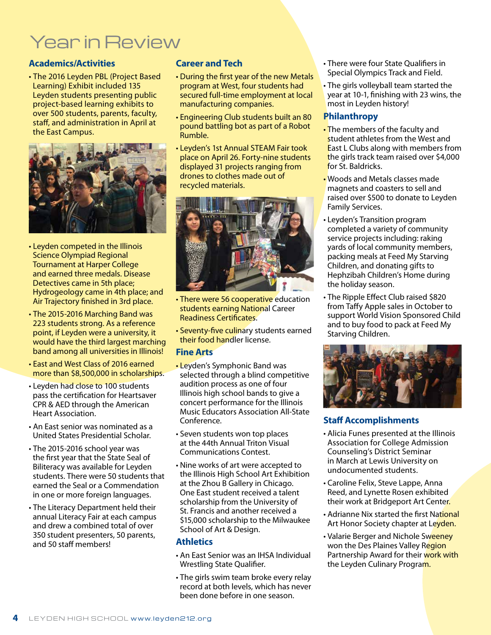## Year in Review

## **Academics/Activities**

• The 2016 Leyden PBL (Project Based Learning) Exhibit included 135 Leyden students presenting public project-based learning exhibits to over 500 students, parents, faculty, staff, and administration in April at the East Campus.



- Leyden competed in the Illinois Science Olympiad Regional Tournament at Harper College and earned three medals. Disease Detectives came in 5th place; Hydrogeology came in 4th place; and Air Trajectory finished in 3rd place.
- The 2015-2016 Marching Band was 223 students strong. As a reference point, if Leyden were a university, it would have the third largest marching band among all universities in Illinois!
- East and West Class of 2016 earned more than \$8,500,000 in scholarships.
- Leyden had close to 100 students pass the certification for Heartsaver CPR & AED through the American Heart Association.
- An East senior was nominated as a United States Presidential Scholar.
- The 2015-2016 school year was the first year that the State Seal of Biliteracy was available for Leyden students. There were 50 students that earned the Seal or a Commendation in one or more foreign languages.
- The Literacy Department held their annual Literacy Fair at each campus and drew a combined total of over 350 student presenters, 50 parents, and 50 staff members!

## **Career and Tech**

- During the first year of the new Metals program at West, four students had secured full-time employment at local manufacturing companies.
- Engineering Club students built an 80 pound battling bot as part of a Robot Rumble.
- Leyden's 1st Annual STEAM Fair took place on April 26. Forty-nine students displayed 31 projects ranging from drones to clothes made out of recycled materials.



- There were 56 cooperative education students earning National Career Readiness Certificates.
- Seventy-five culinary students earned their food handler license.

## **Fine Arts**

- Leyden's Symphonic Band was selected through a blind competitive audition process as one of four Illinois high school bands to give a concert performance for the Illinois Music Educators Association All-State Conference.
- Seven students won top places at the 44th Annual Triton Visual Communications Contest.
- Nine works of art were accepted to the Illinois High School Art Exhibition at the Zhou B Gallery in Chicago. One East student received a talent scholarship from the University of St. Francis and another received a \$15,000 scholarship to the Milwaukee School of Art & Design.

## **Athletics**

- An East Senior was an IHSA Individual Wrestling State Qualifier.
- The girls swim team broke every relay record at both levels, which has never been done before in one season.
- There were four State Qualifiers in Special Olympics Track and Field.
- The girls volleyball team started the year at 10-1, finishing with 23 wins, the most in Leyden history!

## **Philanthropy**

- The members of the faculty and student athletes from the West and East L Clubs along with members from the girls track team raised over \$4,000 for St. Baldricks.
- Woods and Metals classes made magnets and coasters to sell and raised over \$500 to donate to Leyden Family Services.
- Leyden's Transition program completed a variety of community service projects including: raking yards of local community members, packing meals at Feed My Starving Children, and donating gifts to Hephzibah Children's Home during the holiday season.
- The Ripple Effect Club raised \$820 from Taffy Apple sales in October to support World Vision Sponsored Child and to buy food to pack at Feed My Starving Children.



## **Staff Accomplishments**

- Alicia Funes presented at the Illinois Association for College Admission Counseling's District Seminar in March at Lewis University on undocumented students.
- Caroline Felix, Steve Lappe, Anna Reed, and Lynette Rosen exhibited their work at Bridgeport Art Center.
- Adrianne Nix started the first National Art Honor Society chapter at Leyden.
- Valarie Berger and Nichole Sweeney won the Des Plaines Valley Region Partnership Award for their work with the Leyden Culinary Program.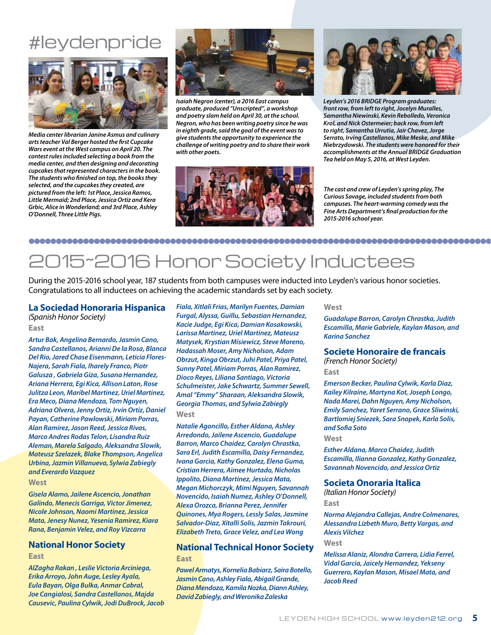## #leydenpride



*Media center librarian Janine Asmus and culinary arts teacher Val Berger hosted the first Cupcake Wars event at the West campus on April 20. The contest rules included selecting a book from the media center, and then designing and decorating cupcakes that represented characters in the book. The students who finished on top, the books they selected, and the cupcakes they created, are pictured from the left: 1st Place, Jessica Ramos, Little Mermaid; 2nd Place, Jessica Ortiz and Kera Grbic, Alice in Wonderland; and 3rd Place, Ashley O'Donnell, Three Little Pigs.*



*Isaiah Negron (center), a 2016 East campus graduate, produced "Unscripted", a workshop and poetry slam held on April 30, at the school. Negron, who has been writing poetry since he was in eighth grade, said the goal of the event was to give students the opportunity to experience the challenge of writing poetry and to share their work with other poets.* 





*Leyden's 2016 BRIDGE Program graduates: front row, from left to right, Jocelyn Muralles, Samantha Niewinski, Kevin Rebolledo, Veronica Krol, and Nick Ostermeier; back row, from left to right, Samantha Urrutia, Jair Chavez, Jorge Serrato, Irving Castellanos, Mike Meske, and Mike Niebrzydowski. The students were honored for their accomplishments at the Annual BRIDGE Graduation Tea held on May 5, 2016, at West Leyden.* 

*The cast and crew of Leyden's spring play, The Curious Savage, included students from both campuses. The heart-warming comedy was the Fine Arts Department's final production for the 2015-2016 school year.*

## 2015~2016 Honor Society Inductees

During the 2015-2016 school year, 187 students from both campuses were inducted into Leyden's various honor societies. Congratulations to all inductees on achieving the academic standards set by each society.

## **La Sociedad Honoraria Hispanica**

*(Spanish Honor Society)* **East**

*Artur Bak, Angelina Bernardo, Jasmin Cano, Sandra Castellanos, Arianni De la Rosa, Blanca Del Rio, Jared Chase Eisenmann, Leticia Flores-Najera, Sarah Fiala, Iharely Franco, Piotr Galusza , Gabriela Giza, Susana Hernandez, Ariana Herrera, Egi Kica, Allison Laton, Rose Julitza Leon, Maribel Martinez, Uriel Martinez, Era Meco, Diana Mendoza, Tom Nguyen, Adriana Olvera, Jenny Ortiz, Irvin Ortiz, Daniel Payan, Catherine Pawlowski, Miriam Porras, Alan Ramirez, Jason Reed, Jessica Rivas, Marco Andres Rodas Telon, Lisandra Ruiz Aleman, Marela Salgado, Aleksandra Slowik, Mateusz Szelazek, Blake Thompson, Angelica Urbina, Jazmin Villanueva, Sylwia Zabiegly and Everardo Vazquez*

### **West**

*Gisela Alamo, Jailene Ascencio, Jonathan Galindo, Menecis Garriga, Victor Jimenez, Nicole Johnson, Naomi Martinez, Jessica Mata, Jenesy Nunez, Yesenia Ramirez, Kiara Rana, Benjamin Velez, and Roy Vizcarra*

## **National Honor Society**

### **East**

*AlZagha Rakan , Leslie Victoria Arciniega, Erika Arroyo, John Auge, Lesley Ayala, Eula Bayan, Olga Bulka, Anmar Cabral, Joe Cangialosi, Sandra Castellanos, Majda Causevic, Paulina Cylwik, Jodi DuBrock, Jacob*  *Fiala, Xitlali Frias, Marilyn Fuentes, Damian Furgal, Alyssa, Guillu, Sebastian Hernandez, Kacie Judge, Egi Kica, Damian Kosakowski, Larissa Martinez, Uriel Martinez, Mateusz Matysek, Krystian Misiewicz, Steve Moreno, Hadassah Moser, Amy Nicholson, Adam Obrzut, Kinga Obrzut, Juhi Patel, Priya Patel, Sunny Patel, Miriam Porras, Alan Ramirez, Dioco Reyes, Liliana Santiago, Victoria Schulmeister, Jake Schwartz, Summer Sewell, Amal "Emmy" Sharaan, Aleksandra Slowik, Georgia Thomas, and Sylwia Zabiegly*  **West**

*Natalie Agoncillo, Esther Aldana, Ashley Arredondo, Jailene Ascencio, Guadalupe Barron, Marco Chaidez, Carolyn Chrastka, Sara Erl, Judith Escamilla, Daisy Fernandez, Ivana Garcia, Kathy Gonzalez, Elena Guma, Cristian Herrera, Aimee Hurtado, Nicholas Ippolito, Diana Martinez, Jessica Mata, Megan Michorczyk, Mimi Nguyen, Savannah Novencido, Isaiah Numez, Ashley O'Donnell, Alexa Orozca, Brianna Perez, Jennifer Quinones, Mya Rogers, Lessly Salas, Jasmine Salvador-Diaz, Xitalli Solis, Jazmin Takrouri, Elizabeth Treto, Grace Velez, and Lea Wong*

## **National Technical Honor Society East**

*Pawel Armatys, Kornelia Babiarz, Saira Botello, Jasmin Cano, Ashley Fiala, Abigail Grande, Diana Mendoza, Kamila Nozka, Diann Ashley, David Zabiegly, and Weronika Zaleska* 

#### **West**

*Guadalupe Barron, Carolyn Chrastka, Judith Escamilla, Marie Gabriele, Kaylan Mason, and Karina Sanchez*

### **Societe Honoraire de francais**

*(French Honor Society)* **East**

*Emerson Becker, Paulina Cylwik, Karla Diaz, Kailey Kilraine, Martyna Kot, Joseph Longo, Nada Marei, Dahn Nguyen, Amy Nicholson, Emily Sanchez, Yaret Serrano, Grace Sliwinski, Bartlomiej Sniezek, Sara Snopek, Karla Solis, and Sofia Soto*

#### **West**

*Esther Aldana, Marco Chaidez, Judith Escamilla, Ilianna Gonzalez, Kathy Gonzalez, Savannah Novencido, and Jessica Ortiz*

## **Societa Onoraria Italica**

*(Italian Honor Society)* **East**

*Norma Alejandra Callejas, Andre Colmenares, Alessandra Lizbeth Muro, Betty Vargas, and Alexis Vilchez*

**West**

*Melissa Alaniz, Alondra Carrera, Lidia Ferrel, Vidal Garcia, Jaicely Hernandez, Yekseny Guerrero, Kaylan Mason, Misael Mata, and Jacob Reed*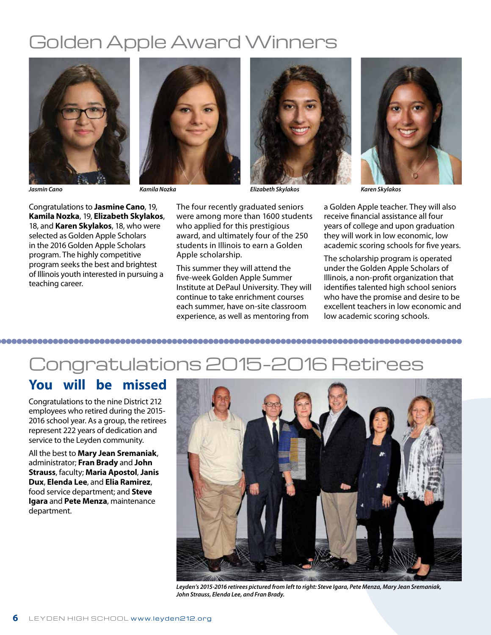## Golden Apple Award Winners





Congratulations to **Jasmine Cano**, 19, **Kamila Nozka**, 19, **Elizabeth Skylakos**, 18, and **Karen Skylakos**, 18, who were selected as Golden Apple Scholars in the 2016 Golden Apple Scholars program. The highly competitive program seeks the best and brightest of Illinois youth interested in pursuing a teaching career.

The four recently graduated seniors were among more than 1600 students who applied for this prestigious award, and ultimately four of the 250 students in Illinois to earn a Golden Apple scholarship.

This summer they will attend the five-week Golden Apple Summer Institute at DePaul University. They will continue to take enrichment courses each summer, have on-site classroom experience, as well as mentoring from



*Jasmin Cano Kamila Nozka Elizabeth Skylakos Karen Skylakos*

a Golden Apple teacher. They will also receive financial assistance all four years of college and upon graduation they will work in low economic, low academic scoring schools for five years.

The scholarship program is operated under the Golden Apple Scholars of Illinois, a non-profit organization that identifies talented high school seniors who have the promise and desire to be excellent teachers in low economic and low academic scoring schools.

## 

## Congratulations 2015–2016 Retirees

## **You will be missed**

Congratulations to the nine District 212 employees who retired during the 2015- 2016 school year. As a group, the retirees represent 222 years of dedication and service to the Leyden community.

All the best to **Mary Jean Sremaniak**, administrator; **Fran Brady** and **John Strauss**, faculty; **Maria Apostol**, **Janis Dux**, **Elenda Lee**, and **Elia Ramirez**, food service department; and **Steve Igara** and **Pete Menza**, maintenance department.



*Leyden's 2015-2016 retirees pictured from left to right: Steve Igara, Pete Menza, Mary Jean Sremaniak, John Strauss, Elenda Lee, and Fran Brady.*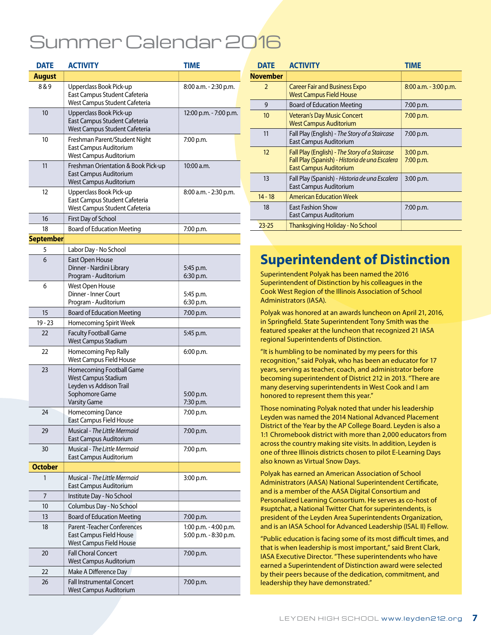## Summer Calendar 2016

| <b>DATE</b>      | <b>ACTIVITY</b>                                                                                                     | <b>TIME</b>                                    |
|------------------|---------------------------------------------------------------------------------------------------------------------|------------------------------------------------|
| <b>August</b>    |                                                                                                                     |                                                |
| 8&9              | Upperclass Book Pick-up<br>East Campus Student Cafeteria<br>West Campus Student Cafeteria                           | 8:00 a.m. - 2:30 p.m.                          |
| 10               | Upperclass Book Pick-up<br>East Campus Student Cafeteria<br>West Campus Student Cafeteria                           | 12:00 p.m. - 7:00 p.m.                         |
| 10               | Freshman Parent/Student Night<br>East Campus Auditorium<br>West Campus Auditorium                                   | 7:00 p.m.                                      |
| 11               | Freshman Orientation & Book Pick-up<br>East Campus Auditorium<br>West Campus Auditorium                             | 10:00 a.m.                                     |
| 12               | Upperclass Book Pick-up<br>East Campus Student Cafeteria<br>West Campus Student Cafeteria                           | 8:00 a.m. - 2:30 p.m.                          |
| 16               | First Day of School                                                                                                 |                                                |
| 18               | <b>Board of Education Meeting</b>                                                                                   | 7:00 p.m.                                      |
| <b>September</b> |                                                                                                                     |                                                |
| 5                | Labor Day - No School                                                                                               |                                                |
| 6                | East Open House<br>Dinner - Nardini Library<br>Program - Auditorium                                                 | 5:45 p.m.<br>6:30 p.m.                         |
| 6                | <b>West Open House</b><br>Dinner - Inner Court<br>Program - Auditorium                                              | 5:45 p.m.<br>6:30 p.m.                         |
| 15               | <b>Board of Education Meeting</b>                                                                                   | 7:00 p.m.                                      |
| $19 - 23$        | Homecoming Spirit Week                                                                                              |                                                |
| 22               | <b>Faculty Football Game</b><br><b>West Campus Stadium</b>                                                          | 5:45 p.m.                                      |
| 22               | Homecoming Pep Rally<br>West Campus Field House                                                                     | 6:00 p.m.                                      |
| 23               | Homecoming Football Game<br>West Campus Stadium<br>Leyden vs Addison Trail<br>Sophomore Game<br><b>Varsity Game</b> | 5:00 p.m.<br>7:30 p.m.                         |
| 24               | Homecoming Dance<br>East Campus Field House                                                                         | 7:00 p.m.                                      |
| 29               | Musical - The Little Mermaid<br>East Campus Auditorium                                                              | 7:00 p.m.                                      |
| 30               | Musical - The Little Mermaid<br>East Campus Auditorium                                                              | 7:00 p.m.                                      |
| <b>October</b>   |                                                                                                                     |                                                |
| 1                | Musical - The Little Mermaid<br>East Campus Auditorium                                                              | 3:00 p.m.                                      |
| 7                | Institute Day - No School                                                                                           |                                                |
| 10               | Columbus Day - No School                                                                                            |                                                |
| 13               | <b>Board of Education Meeting</b>                                                                                   | 7:00 p.m.                                      |
| 18               | <b>Parent -Teacher Conferences</b><br>East Campus Field House<br>West Campus Field House                            | 1:00 p.m. - 4:00 p.m.<br>5:00 p.m. - 8:30 p.m. |
| 20               | <b>Fall Choral Concert</b><br>West Campus Auditorium                                                                | 7:00 p.m.                                      |
| 22               | Make A Difference Day                                                                                               |                                                |
| 26               | <b>Fall Instrumental Concert</b><br>West Campus Auditorium                                                          | 7:00 p.m.                                      |

| <b>DATE</b>     | <b>ACTIVITY</b>                                                                                                                   | TIME                   |
|-----------------|-----------------------------------------------------------------------------------------------------------------------------------|------------------------|
| <b>November</b> |                                                                                                                                   |                        |
| $\overline{2}$  | <b>Career Fair and Business Expo</b><br><b>West Campus Field House</b>                                                            | 8:00 a.m. - 3:00 p.m.  |
| 9               | <b>Board of Education Meeting</b>                                                                                                 | 7:00 p.m.              |
| 10              | <b>Veteran's Day Music Concert</b><br><b>West Campus Auditorium</b>                                                               | 7:00 p.m.              |
| 11              | Fall Play (English) - The Story of a Staircase<br>East Campus Auditorium                                                          | 7:00 p.m.              |
| 12              | Fall Play (English) - The Story of a Staircase<br>Fall Play (Spanish) - Historia de una Escalera<br><b>East Campus Auditorium</b> | 3:00 p.m.<br>7:00 p.m. |
| 13              | Fall Play (Spanish) - Historia de una Escalera<br>East Campus Auditorium                                                          | $3:00$ p.m.            |
| $14 - 18$       | <b>American Education Week</b>                                                                                                    |                        |
| 18              | <b>East Fashion Show</b><br>East Campus Auditorium                                                                                | 7:00 p.m.              |
| $23 - 25$       | Thanksgiving Holiday - No School                                                                                                  |                        |

## **Superintendent of Distinction**

Superintendent Polyak has been named the 2016 Superintendent of Distinction by his colleagues in the Cook West Region of the Illinois Association of School Administrators (IASA).

Polyak was honored at an awards luncheon on April 21, 2016, in Springfield. State Superintendent Tony Smith was the featured speaker at the luncheon that recognized 21 IASA regional Superintendents of Distinction.

"It is humbling to be nominated by my peers for this recognition," said Polyak, who has been an educator for 17 years, serving as teacher, coach, and administrator before becoming superintendent of District 212 in 2013. "There are many deserving superintendents in West Cook and I am honored to represent them this year."

Those nominating Polyak noted that under his leadership Leyden was named the 2014 National Advanced Placement District of the Year by the AP College Board. Leyden is also a 1:1 Chromebook district with more than 2,000 educators from across the country making site visits. In addition, Leyden is one of three Illinois districts chosen to pilot E-Learning Days also known as Virtual Snow Days.

Polyak has earned an American Association of School Administrators (AASA) National Superintendent Certificate, and is a member of the AASA Digital Consortium and Personalized Learning Consortium. He serves as co-host of #suptchat, a National Twitter Chat for superintendents, is president of the Leyden Area Superintendents Organization, and is an IASA School for Advanced Leadership (ISAL II) Fellow.

"Public education is facing some of its most difficult times, and that is when leadership is most important," said Brent Clark, IASA Executive Director. "These superintendents who have earned a Superintendent of Distinction award were selected by their peers because of the dedication, commitment, and leadership they have demonstrated."